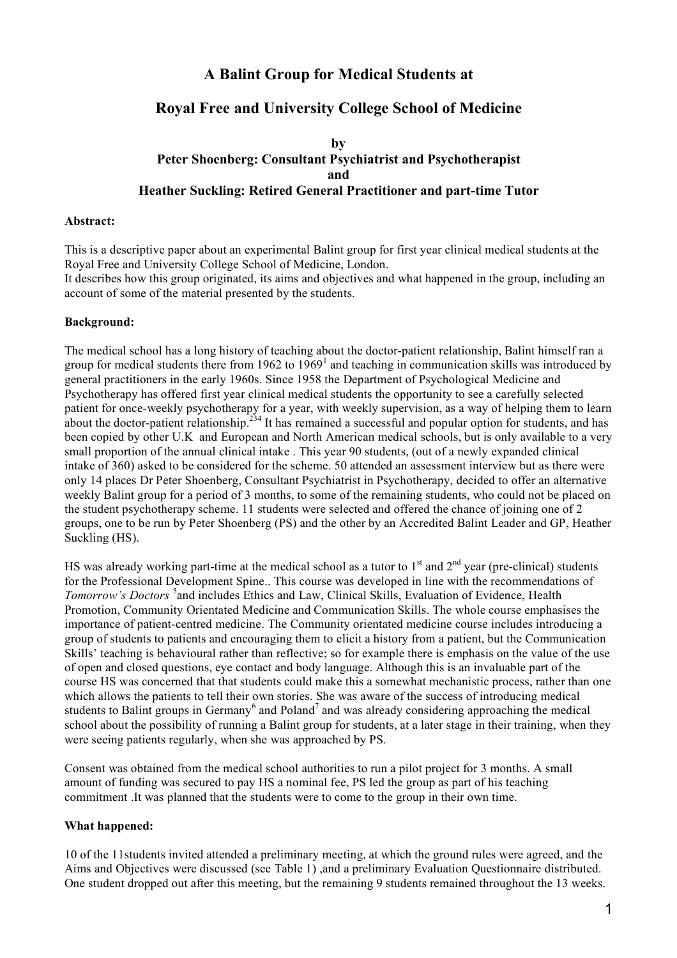# **A Balint Group for Medical Students at**

# **Royal Free and University College School of Medicine**

### **by Peter Shoenberg: Consultant Psychiatrist and Psychotherapist and Heather Suckling: Retired General Practitioner and part-time Tutor**

### **Abstract:**

This is a descriptive paper about an experimental Balint group for first year clinical medical students at the Royal Free and University College School of Medicine, London.

It describes how this group originated, its aims and objectives and what happened in the group, including an account of some of the material presented by the students.

### **Background:**

The medical school has a long history of teaching about the doctor-patient relationship, Balint himself ran a group for medical students there from 1962 to  $1969<sup>1</sup>$  and teaching in communication skills was introduced by general practitioners in the early 1960s. Since 1958 the Department of Psychological Medicine and Psychotherapy has offered first year clinical medical students the opportunity to see a carefully selected patient for once-weekly psychotherapy for a year, with weekly supervision, as a way of helping them to learn about the doctor-patient relationship.<sup>234</sup> It has remained a successful and popular option for students, and has been copied by other U.K and European and North American medical schools, but is only available to a very small proportion of the annual clinical intake . This year 90 students, (out of a newly expanded clinical intake of 360) asked to be considered for the scheme. 50 attended an assessment interview but as there were only 14 places Dr Peter Shoenberg, Consultant Psychiatrist in Psychotherapy, decided to offer an alternative weekly Balint group for a period of 3 months, to some of the remaining students, who could not be placed on the student psychotherapy scheme. 11 students were selected and offered the chance of joining one of 2 groups, one to be run by Peter Shoenberg (PS) and the other by an Accredited Balint Leader and GP, Heather Suckling (HS).

HS was already working part-time at the medical school as a tutor to  $1<sup>st</sup>$  and  $2<sup>nd</sup>$  year (pre-clinical) students for the Professional Development Spine.. This course was developed in line with the recommendations of *Tomorrow's Doctors* 5 and includes Ethics and Law, Clinical Skills, Evaluation of Evidence, Health Promotion, Community Orientated Medicine and Communication Skills. The whole course emphasises the importance of patient-centred medicine. The Community orientated medicine course includes introducing a group of students to patients and encouraging them to elicit a history from a patient, but the Communication Skills' teaching is behavioural rather than reflective; so for example there is emphasis on the value of the use of open and closed questions, eye contact and body language. Although this is an invaluable part of the course HS was concerned that that students could make this a somewhat mechanistic process, rather than one which allows the patients to tell their own stories. She was aware of the success of introducing medical students to Balint groups in Germany<sup>6</sup> and Poland<sup>7</sup> and was already considering approaching the medical school about the possibility of running a Balint group for students, at a later stage in their training, when they were seeing patients regularly, when she was approached by PS.

Consent was obtained from the medical school authorities to run a pilot project for 3 months. A small amount of funding was secured to pay HS a nominal fee, PS led the group as part of his teaching commitment .It was planned that the students were to come to the group in their own time.

### **What happened:**

10 of the 11students invited attended a preliminary meeting, at which the ground rules were agreed, and the Aims and Objectives were discussed (see Table 1), and a preliminary Evaluation Questionnaire distributed. One student dropped out after this meeting, but the remaining 9 students remained throughout the 13 weeks.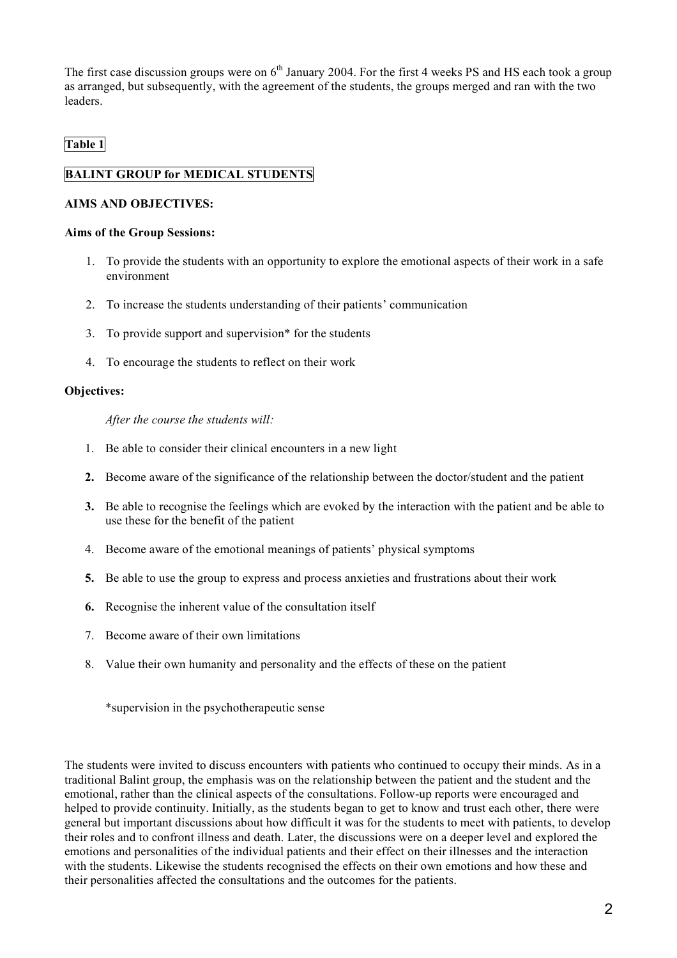The first case discussion groups were on  $6<sup>th</sup>$  January 2004. For the first 4 weeks PS and HS each took a group as arranged, but subsequently, with the agreement of the students, the groups merged and ran with the two leaders.

## **Table 1**

### **BALINT GROUP for MEDICAL STUDENTS**

### **AIMS AND OBJECTIVES:**

### **Aims of the Group Sessions:**

- 1. To provide the students with an opportunity to explore the emotional aspects of their work in a safe environment
- 2. To increase the students understanding of their patients' communication
- 3. To provide support and supervision\* for the students
- 4. To encourage the students to reflect on their work

### **Objectives:**

*After the course the students will:*

- 1. Be able to consider their clinical encounters in a new light
- **2.** Become aware of the significance of the relationship between the doctor/student and the patient
- **3.** Be able to recognise the feelings which are evoked by the interaction with the patient and be able to use these for the benefit of the patient
- 4. Become aware of the emotional meanings of patients' physical symptoms
- **5.** Be able to use the group to express and process anxieties and frustrations about their work
- **6.** Recognise the inherent value of the consultation itself
- 7. Become aware of their own limitations
- 8. Value their own humanity and personality and the effects of these on the patient

\*supervision in the psychotherapeutic sense

The students were invited to discuss encounters with patients who continued to occupy their minds. As in a traditional Balint group, the emphasis was on the relationship between the patient and the student and the emotional, rather than the clinical aspects of the consultations. Follow-up reports were encouraged and helped to provide continuity. Initially, as the students began to get to know and trust each other, there were general but important discussions about how difficult it was for the students to meet with patients, to develop their roles and to confront illness and death. Later, the discussions were on a deeper level and explored the emotions and personalities of the individual patients and their effect on their illnesses and the interaction with the students. Likewise the students recognised the effects on their own emotions and how these and their personalities affected the consultations and the outcomes for the patients.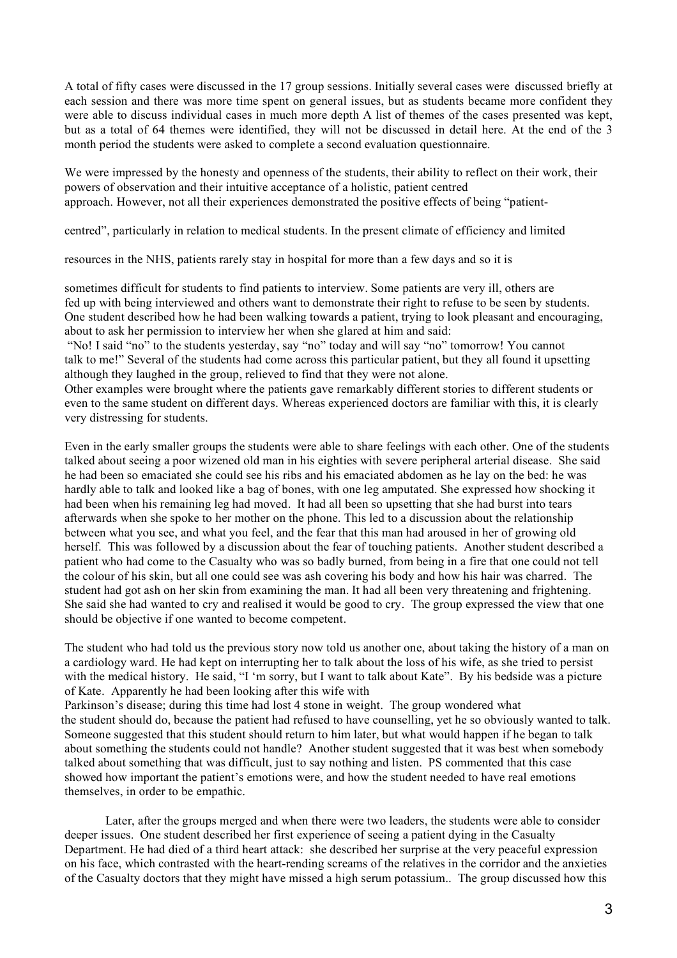A total of fifty cases were discussed in the 17 group sessions. Initially several cases were discussed briefly at each session and there was more time spent on general issues, but as students became more confident they were able to discuss individual cases in much more depth A list of themes of the cases presented was kept, but as a total of 64 themes were identified, they will not be discussed in detail here. At the end of the 3 month period the students were asked to complete a second evaluation questionnaire.

We were impressed by the honesty and openness of the students, their ability to reflect on their work, their powers of observation and their intuitive acceptance of a holistic, patient centred approach. However, not all their experiences demonstrated the positive effects of being "patient-

centred", particularly in relation to medical students. In the present climate of efficiency and limited

resources in the NHS, patients rarely stay in hospital for more than a few days and so it is

sometimes difficult for students to find patients to interview. Some patients are very ill, others are fed up with being interviewed and others want to demonstrate their right to refuse to be seen by students. One student described how he had been walking towards a patient, trying to look pleasant and encouraging, about to ask her permission to interview her when she glared at him and said:

"No! I said "no" to the students yesterday, say "no" today and will say "no" tomorrow! You cannot talk to me!" Several of the students had come across this particular patient, but they all found it upsetting although they laughed in the group, relieved to find that they were not alone.

Other examples were brought where the patients gave remarkably different stories to different students or even to the same student on different days. Whereas experienced doctors are familiar with this, it is clearly very distressing for students.

Even in the early smaller groups the students were able to share feelings with each other. One of the students talked about seeing a poor wizened old man in his eighties with severe peripheral arterial disease. She said he had been so emaciated she could see his ribs and his emaciated abdomen as he lay on the bed: he was hardly able to talk and looked like a bag of bones, with one leg amputated. She expressed how shocking it had been when his remaining leg had moved. It had all been so upsetting that she had burst into tears afterwards when she spoke to her mother on the phone. This led to a discussion about the relationship between what you see, and what you feel, and the fear that this man had aroused in her of growing old herself. This was followed by a discussion about the fear of touching patients. Another student described a patient who had come to the Casualty who was so badly burned, from being in a fire that one could not tell the colour of his skin, but all one could see was ash covering his body and how his hair was charred. The student had got ash on her skin from examining the man. It had all been very threatening and frightening. She said she had wanted to cry and realised it would be good to cry. The group expressed the view that one should be objective if one wanted to become competent.

The student who had told us the previous story now told us another one, about taking the history of a man on a cardiology ward. He had kept on interrupting her to talk about the loss of his wife, as she tried to persist with the medical history. He said, "I 'm sorry, but I want to talk about Kate". By his bedside was a picture of Kate. Apparently he had been looking after this wife with

Parkinson's disease; during this time had lost 4 stone in weight. The group wondered what the student should do, because the patient had refused to have counselling, yet he so obviously wanted to talk. Someone suggested that this student should return to him later, but what would happen if he began to talk about something the students could not handle? Another student suggested that it was best when somebody talked about something that was difficult, just to say nothing and listen. PS commented that this case showed how important the patient's emotions were, and how the student needed to have real emotions themselves, in order to be empathic.

Later, after the groups merged and when there were two leaders, the students were able to consider deeper issues. One student described her first experience of seeing a patient dying in the Casualty Department. He had died of a third heart attack: she described her surprise at the very peaceful expression on his face, which contrasted with the heart-rending screams of the relatives in the corridor and the anxieties of the Casualty doctors that they might have missed a high serum potassium.. The group discussed how this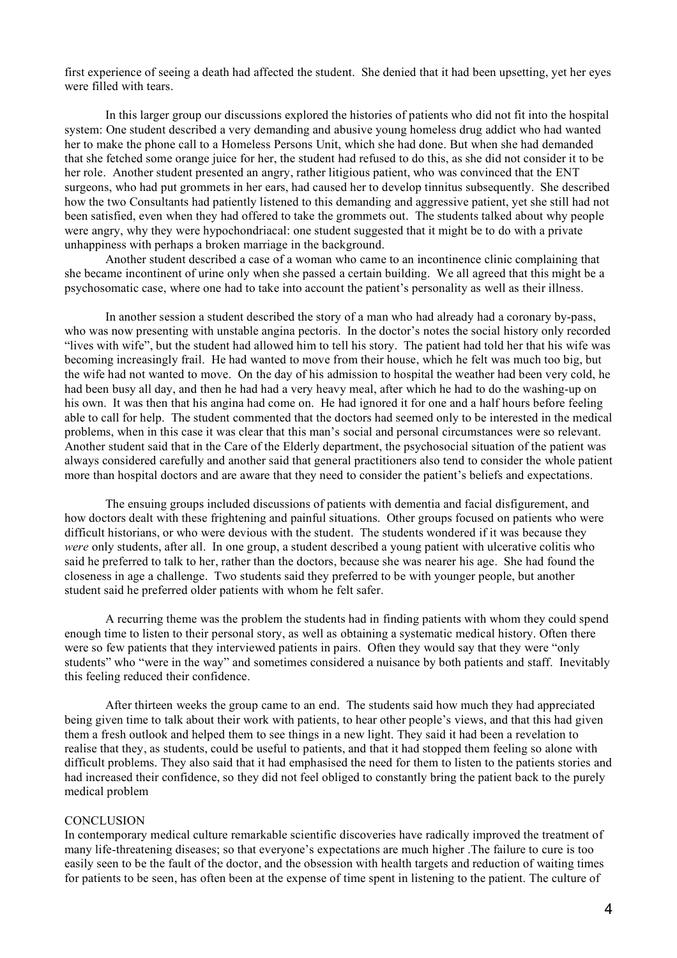first experience of seeing a death had affected the student. She denied that it had been upsetting, yet her eyes were filled with tears.

In this larger group our discussions explored the histories of patients who did not fit into the hospital system: One student described a very demanding and abusive young homeless drug addict who had wanted her to make the phone call to a Homeless Persons Unit, which she had done. But when she had demanded that she fetched some orange juice for her, the student had refused to do this, as she did not consider it to be her role. Another student presented an angry, rather litigious patient, who was convinced that the ENT surgeons, who had put grommets in her ears, had caused her to develop tinnitus subsequently. She described how the two Consultants had patiently listened to this demanding and aggressive patient, yet she still had not been satisfied, even when they had offered to take the grommets out. The students talked about why people were angry, why they were hypochondriacal: one student suggested that it might be to do with a private unhappiness with perhaps a broken marriage in the background.

Another student described a case of a woman who came to an incontinence clinic complaining that she became incontinent of urine only when she passed a certain building. We all agreed that this might be a psychosomatic case, where one had to take into account the patient's personality as well as their illness.

In another session a student described the story of a man who had already had a coronary by-pass, who was now presenting with unstable angina pectoris. In the doctor's notes the social history only recorded "lives with wife", but the student had allowed him to tell his story. The patient had told her that his wife was becoming increasingly frail. He had wanted to move from their house, which he felt was much too big, but the wife had not wanted to move. On the day of his admission to hospital the weather had been very cold, he had been busy all day, and then he had had a very heavy meal, after which he had to do the washing-up on his own. It was then that his angina had come on. He had ignored it for one and a half hours before feeling able to call for help. The student commented that the doctors had seemed only to be interested in the medical problems, when in this case it was clear that this man's social and personal circumstances were so relevant. Another student said that in the Care of the Elderly department, the psychosocial situation of the patient was always considered carefully and another said that general practitioners also tend to consider the whole patient more than hospital doctors and are aware that they need to consider the patient's beliefs and expectations.

The ensuing groups included discussions of patients with dementia and facial disfigurement, and how doctors dealt with these frightening and painful situations. Other groups focused on patients who were difficult historians, or who were devious with the student. The students wondered if it was because they *were* only students, after all. In one group, a student described a young patient with ulcerative colitis who said he preferred to talk to her, rather than the doctors, because she was nearer his age. She had found the closeness in age a challenge. Two students said they preferred to be with younger people, but another student said he preferred older patients with whom he felt safer.

A recurring theme was the problem the students had in finding patients with whom they could spend enough time to listen to their personal story, as well as obtaining a systematic medical history. Often there were so few patients that they interviewed patients in pairs. Often they would say that they were "only students" who "were in the way" and sometimes considered a nuisance by both patients and staff. Inevitably this feeling reduced their confidence.

After thirteen weeks the group came to an end. The students said how much they had appreciated being given time to talk about their work with patients, to hear other people's views, and that this had given them a fresh outlook and helped them to see things in a new light. They said it had been a revelation to realise that they, as students, could be useful to patients, and that it had stopped them feeling so alone with difficult problems. They also said that it had emphasised the need for them to listen to the patients stories and had increased their confidence, so they did not feel obliged to constantly bring the patient back to the purely medical problem

#### **CONCLUSION**

In contemporary medical culture remarkable scientific discoveries have radically improved the treatment of many life-threatening diseases; so that everyone's expectations are much higher .The failure to cure is too easily seen to be the fault of the doctor, and the obsession with health targets and reduction of waiting times for patients to be seen, has often been at the expense of time spent in listening to the patient. The culture of